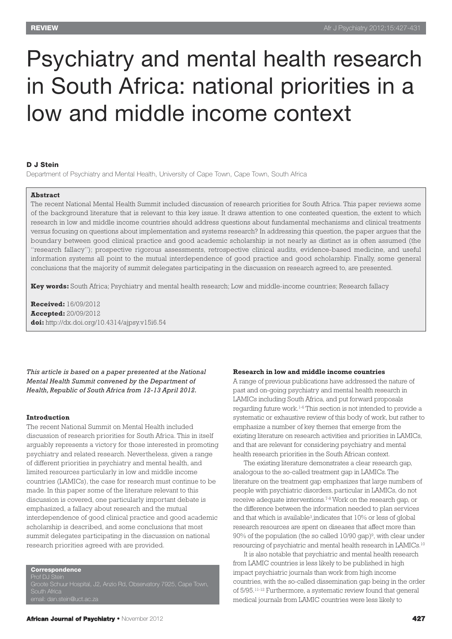# Psychiatry and mental health research in South Africa: national priorities in a low and middle income context

# **D J Stein**

Department of Psychiatry and Mental Health, University of Cape Town, Cape Town, South Africa

# **Abstract**

The recent National Mental Health Summit included discussion of research priorities for South Africa. This paper reviews some of the background literature that is relevant to this key issue. It draws attention to one contested question, the extent to which research in low and middle income countries should address questions about fundamental mechanisms and clinical treatments versus focusing on questions about implementation and systems research? In addressing this question, the paper argues that the boundary between good clinical practice and good academic scholarship is not nearly as distinct as is often assumed (the "research fallacy"); prospective rigorous assessments, retrospective clinical audits, evidence-based medicine, and useful information systems all point to the mutual interdependence of good practice and good scholarship. Finally, some general conclusions that the majority of summit delegates participating in the discussion on research agreed to, are presented.

**Key words:** South Africa; Psychiatry and mental health research; Low and middle-income countries; Research fallacy

**Received:** 16/09/2012 **Accepted:** 20/09/2012 **doi:** http://dx.doi.org/10.4314/ajpsy.v15i6.54

*This article is based on a paper presented at the National Mental Health Summit convened by the Department of Health, Republic of South Africa from 12-13 April 2012.*

### **Introduction**

The recent National Summit on Mental Health included discussion of research priorities for South Africa. This in itself arguably represents a victory for those interested in promoting psychiatry and related research. Nevertheless, given a range of different priorities in psychiatry and mental health, and limited resources particularly in low and middle income countries (LAMICs), the case for research must continue to be made. In this paper some of the literature relevant to this discussion is covered, one particularly important debate is emphasized, a fallacy about research and the mutual interdependence of good clinical practice and good academic scholarship is described, and some conclusions that most summit delegates participating in the discussion on national research priorities agreed with are provided.

**Correspondence**

Prof DJ Stein utri <del>Africa</del><br>pail: dan.stein@uct.ac.za

#### **Research in low and middle income countries**

A range of previous publications have addressed the nature of past and on-going psychiatry and mental health research in LAMICs including South Africa, and put forward proposals regarding future work. 1-6 This section is not intended to provide a systematic or exhaustive review of this body of work, but rather to emphasize a number of key themes that emerge from the existing literature on research activities and priorities in LAMICs, and that are relevant for considering psychiatry and mental health research priorities in the South African context.

The existing literature demonstrates a clear research gap, analogous to the so-called treatment gap in LAMICs. The literature on the treatment gap emphasizes that large numbers of people with psychiatric disorders, particular in LAMICs, do not receive adequate interventions. 7-8 Work on the research gap, or the difference between the information needed to plan services and that which is available3,indicates that 10% or less of global research resources are spent on diseases that affect more than 90% of the population (the so called 10/90 gap)9, with clear under resourcing of psychiatric and mental health research in LAMICs. 10

It is also notable that psychiatric and mental health research from LAMIC countries is less likely to be published in high impact psychiatric journals than work from high income countries, with the so-called dissemination gap being in the order of 5/95. 11-12 Furthermore, a systematic review found that general medical journals from LAMIC countries were less likely to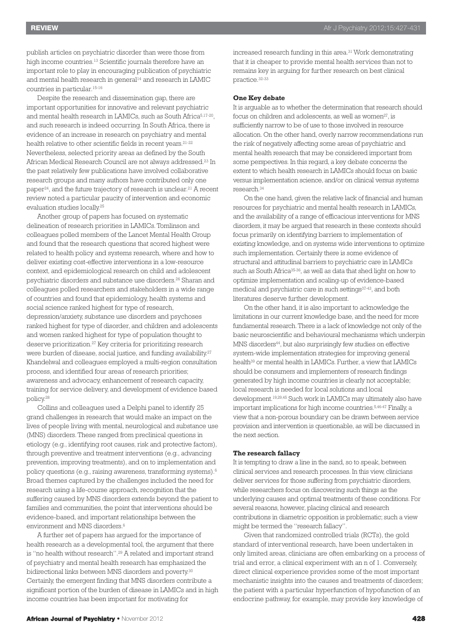publish articles on psychiatric disorder than were those from high income countries. <sup>13</sup> Scientific journals therefore have an important role to play in encouraging publication of psychiatric and mental health research in general <sup>14</sup> and research in LAMIC countries in particular. 15-16

Despite the research and dissemination gap, there are important opportunities for innovative and relevant psychiatric and mental health research in LAMICs, such as South Africa5,17-20, and such research is indeed occurring. In South Africa, there is evidence of an increase in research on psychiatry and mental health relative to other scientific fields in recent years.<sup>21-22</sup> Nevertheless, selected priority areas as defined by the South African Medical Research Council are not always addressed. <sup>23</sup> In the past relatively few publications have involved collaborative research groups and many authors have contributed only one paper24, and the future trajectory of research is unclear. <sup>21</sup> A recent review noted a particular paucity of intervention and economic evaluation studies locally. 25

Another group of papers has focused on systematic delineation of research priorities in LAMICs. Tomlinson and colleagues polled members of the Lancet Mental Health Group and found that the research questions that scored highest were related to health policy and systems research, where and how to deliver existing cost-effective interventions in a low-resource context, and epidemiological research on child and adolescent psychiatric disorders and substance use disorders. <sup>26</sup> Sharan and colleagues polled researchers and stakeholders in a wide range of countries and found that epidemiology, health systems and social science ranked highest for type of research, depression/anxiety, substance use disorders and psychoses ranked highest for type of disorder, and children and adolescents and women ranked highest for type of population thought to deserve prioritization. <sup>27</sup> Key criteria for prioritizing research were burden of disease, social justice, and funding availability. 27 Khandelwal and colleagues employed a multi-region consultation process, and identified four areas of research priorities; awareness and advocacy, enhancement of research capacity, training for service delivery, and development of evidence based policy. 28

Collins and colleagues used a Delphi panel to identify 25 grand challenges in research that would make an impact on the lives of people living with mental, neurological and substance use (MNS) disorders. These ranged from preclinical questions in etiology (e.g., identifying root causes, risk and protective factors), through preventive and treatment interventions (e.g., advancing prevention, improving treatments), and on to implementation and policy questions (e.g., raising awareness, transforming systems). 6 Broad themes captured by the challenges included the need for research using a life-course approach, recognition that the suffering caused by MNS disorders extends beyond the patient to families and communities, the point that interventions should be evidence-based, and important relationships between the environment and MNS disorders. 6

A further set of papers has argued for the importance of health research as a developmental tool, the argument that there is "no health without research". <sup>29</sup> A related and important strand of psychiatry and mental health research has emphasized the bidirectional links between MNS disorders and poverty. 30 Certainly, the emergent finding that MNS disorders contribute a significant portion of the burden of disease in LAMICs and in high income countries has been important for motivating for

increased research funding in this area. <sup>31</sup> Work demonstrating that it is cheaper to provide mental health services than not to remains key in arguing for further research on best clinical practice. 32-33

#### **One Key debate**

It is arguable as to whether the determination that research should focus on children and adolescents, as well as women<sup>27</sup>, is sufficiently narrow to be of use to those involved in resource allocation. On the other hand, overly narrow recommendations run the risk of negatively affecting some areas of psychiatric and mental health research that may be considered important from some perspectives. In this regard, a key debate concerns the extent to which health research in LAMICs should focus on basic versus implementation science, and/or on clinical versus systems research. 34

On the one hand, given the relative lack of financial and human resources for psychiatric and mental health research in LAMICs, and the availability of a range of efficacious interventions for MNS disorders, it may be argued that research in these contexts should focus primarily on identifying barriers to implementation of existing knowledge, and on systems wide interventions to optimize such implementation. Certainly there is some evidence of structural and attitudinal barriers to psychiatric care in LAMICs such as South Africa35-36, as well as data that shed light on how to optimize implementation and scaling-up of evidence-based medical and psychiatric care in such settings<sup>37-43</sup>, and both literatures deserve further development.

On the other hand, it is also important to acknowledge the limitations in our current knowledge base, and the need for more fundamental research.There is a lack of knowledge not only of the basic neuroscientific and behavioural mechanisms which underpin MNS disorders44, but also surprisingly few studies on effective system-wide implementation strategies for improving general health<sup>39</sup> or mental health in LAMICs. Further, a view that LAMICs should be consumers and implementers of research findings generated by high income countries is clearly not acceptable; local research is needed for local solutions and local development. 19,29,45 Such work in LAMICs may ultimately also have important implications for high income countries. 5,46-47 Finally, a view that a non-porous boundary can be drawn between service provision and intervention is questionable, as will be discussed in the next section.

#### **The research fallacy**

It is tempting to draw a line in the sand, so to speak, between clinical services and research processes. In this view, clinicians deliver services for those suffering from psychiatric disorders, while researchers focus on discovering such things as the underlying causes and optimal treatments of these conditions. For several reasons, however, placing clinical and research contributions in diametric opposition is problematic; such a view might be termed the "research fallacy".

Given that randomized controlled trials (RCTs), the gold standard of interventional research, have been undertaken in only limited areas, clinicians are often embarking on a process of trial and error, a clinical experiment with an n of 1. Conversely, direct clinical experience provides some of the most important mechanistic insights into the causes and treatments of disorders; the patient with a particular hyperfunction of hypofunction of an endocrine pathway, for example, may provide key knowledge of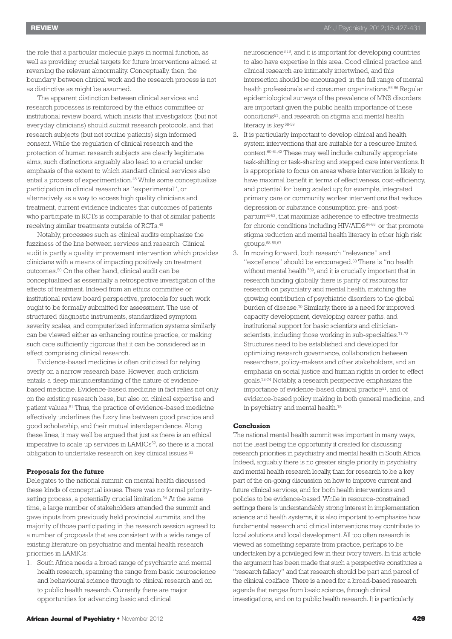the role that a particular molecule plays in normal function, as well as providing crucial targets for future interventions aimed at reversing the relevant abnormality. Conceptually, then, the boundary between clinical work and the research process is not as distinctive as might be assumed.

The apparent distinction between clinical services and research processes is reinforced by the ethics committee or institutional review board, which insists that investigators (but not everyday clinicians) should submit research protocols, and that research subjects (but not routine patients) sign informed consent.While the regulation of clinical research and the protection of human research subjects are clearly legitimate aims, such distinctions arguably also lead to a crucial under emphasis of the extent to which standard clinical services also entail a process of experimentation. <sup>48</sup> While some conceptualize participation in clinical research as "experimental", or alternatively as a way to access high quality clinicians and treatment, current evidence indicates that outcomes of patients who participate in RCTs is comparable to that of similar patients receiving similar treatments outside of RCTs. 49

Notably, processes such as clinical audits emphasize the fuzziness of the line between services and research. Clinical audit is partly a quality improvement intervention which provides clinicians with a means of impacting positively on treatment outcomes. <sup>50</sup> On the other hand, clinical audit can be conceptualized as essentially a retrospective investigation of the effects of treatment. Indeed from an ethics committee or institutional review board perspective, protocols for such work ought to be formally submitted for assessment. The use of structured diagnostic instruments, standardized symptom severity scales, and computerized information systems similarly can be viewed either as enhancing routine practice, or making such care sufficiently rigorous that it can be considered as in effect comprising clinical research.

Evidence-based medicine is often criticized for relying overly on a narrow research base. However, such criticism entails a deep misunderstanding of the nature of evidencebased medicine. Evidence-based medicine in fact relies not only on the existing research base, but also on clinical expertise and patient values. <sup>51</sup> Thus, the practice of evidence-based medicine effectively underlines the fuzzy line between good practice and good scholarship, and their mutual interdependence. Along these lines, it may well be argued that just as there is an ethical imperative to scale up services in LAMICs<sup>52</sup>, so there is a moral obligation to undertake research on key clinical issues. 53

#### **Proposals for the future**

Delegates to the national summit on mental health discussed these kinds of conceptual issues. There was no formal prioritysetting process, a potentially crucial limitation. <sup>54</sup> At the same time, a large number of stakeholders attended the summit and gave inputs from previously held provincial summits, and the majority of those participating in the research session agreed to a number of proposals that are consistent with a wide range of existing literature on psychiatric and mental health research priorities in LAMICs:

1. South Africa needs a broad range of psychiatric and mental health research, spanning the range from basic neuroscience and behavioural science through to clinical research and on to public health research. Currently there are major opportunities for advancing basic and clinical

neuroscience6,19, and it is important for developing countries to also have expertise in this area. Good clinical practice and clinical research are intimately intertwined, and this intersection should be encouraged, in the full range of mental health professionals and consumer organizations. 55-56 Regular epidemiological surveys of the prevalence of MNS disorders are important given the public health importance of these conditions57, and research on stigma and mental health literacy is key. 58-59

- 2. It is particularly important to develop clinical and health system interventions that are suitable for a resource limited context. 60-61,42 These may well include culturally appropriate task-shifting or task-sharing and stepped care interventions. It is appropriate to focus on areas where intervention is likely to have maximal benefit in terms of effectiveness, cost-efficiency, and potential for being scaled up; for example, integrated primary care or community worker interventions that reduce depression or substance consumption pre- and postpartum62-63, that maximize adherence to effective treatments for chronic conditions including HIV/AIDS64-66, or that promote stigma reduction and mental health literacy in other high risk groups. 58-59,67
- 3. In moving forward, both research "relevance" and "excellence" should be encouraged. <sup>68</sup> There is "no health without mental health<sup>"69</sup>, and it is crucially important that in research funding globally there is parity of resources for research on psychiatry and mental health, matching the growing contribution of psychiatric disorders to the global burden of disease. <sup>70</sup> Similarly, there is a need for improved capacity development, developing career paths, and institutional support for basic scientists and clinicianscientists, including those working in sub-specialties.<sup>71-72</sup> Structures need to be established and developed for optimizing research governance, collaboration between researchers, policy-makers and other stakeholders, and an emphasis on social justice and human rights in order to effect goals. 73-74 Notably, a research perspective emphasizes the importance of evidence-based clinical practice<sup>51</sup>, and of evidence-based policy making in both general medicine, and in psychiatry and mental health. 75

# **Conclusion**

The national mental health summit was important in many ways, not the least being the opportunity it created for discussing research priorities in psychiatry and mental health in South Africa. Indeed, arguably there is no greater single priority in psychiatry and mental health research locally, than for research to be a key part of the on-going discussion on how to improve current and future clinical services, and for both health interventions and policies to be evidence-based.While in resource-constrained settings there is understandably strong interest in implementation science and health systems, it is also important to emphasize how fundamental research and clinical interventions may contribute to local solutions and local development.All too often research is viewed as something separate from practice, perhaps to be undertaken by a privileged few in their ivory towers. In this article the argument has been made that such a perspective constitutes a "research fallacy" and that research should be part and parcel of the clinical coalface.There is a need for a broad-based research agenda that ranges from basic science, through clinical investigations, and on to public health research. It is particularly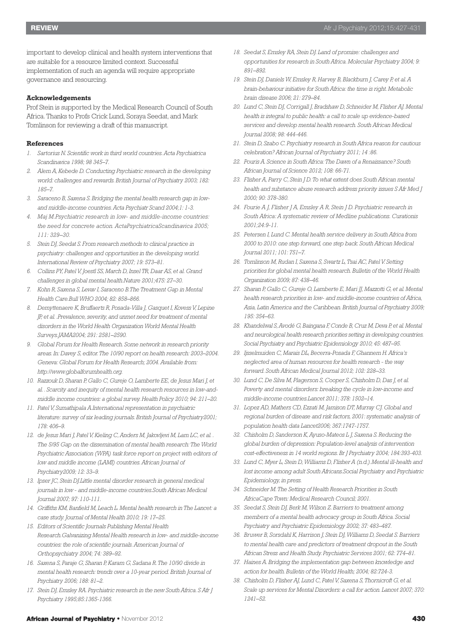important to develop clinical and health system interventions that are suitable for a resource limited context. Successful implementation of such an agenda will require appropriate governance and resourcing.

## **Acknowledgements**

Prof Stein is supported by the Medical Research Council of South Africa.Thanks to Profs Crick Lund, Soraya Seedat, and Mark Tomlinson for reviewing a draft of this manuscript.

### **References**

- *1. Sartorius N. Scientific work in third world countries.Acta Psychiatrica Scandinavica 1998; 98 345–7.*
- *2. Alem A, Kebede D.Conducting Psychiatric research in the developing world: challenges and rewards. British Journal of Psychiatry 2003; 182: 185–7.*
- *3. Saraceno B, Saxena S. Bridging the mental health research gap in lowand middle-income countries.Acta Psychiatr Scand 2004;1: 1-3.*
- *4. Maj M.Psychiatric research in low- and middle-income countries: the need for concrete action. ActaPsychiatricaScandinavica 2005; 111: 329–30.*
- *5. Stein DJ, Seedat S. From research methods to clinical practice in psychiatry: challenges and opportunities in the developing world. International Review of Psychiatry 2007; 19: 573–81.*
- *6. Collins PY, Patel V, Joestl SS, March D, Insel TR,Daar AS, et al.Grand challenges in global mental health.Nature 2001;475: 27–30.*
- *7. Kohn R, Saxena S, Levav I, Saraceno B.The Treatment Gap in Mental Health Care.Bull WHO 2004; 82: 858–866.*
- *8. Demyttenaere K, Bruffaerts R, Posada-Villa J, Gasquet I, Kovess V, Lepine JP, et al. .Prevalence, severity, and unmet need for treatment of mental disorders in the World Health Organization World Mental Health Surveys.JAMA2004; 291: 2581–2590.*
- *9. Global Forum for Health Research. Some network in research priority areas. In: Davey S, editor.The 10/90 report on health research: 2003–2004. Geneva: Global Forum for Health Research; 2004.Available from: http://www.globalforumhealth.org.*
- *10. Razzouk D, Sharan P, Gallo C, Gureje O, Lamberte EE, de Jesus Mari J, et al. . Scarcity and inequity of mental health research resources in low-andmiddle income countries: a global survey.Health Policy 2010; 94: 211–20.*
- *11. Patel V, Sumathipala A.International representation in psychiatric literature: survey of six leading journals. British Journal of Psychiatry2001; 178: 406–9.*
- *12. de Jesus Mari J, Patel V, Kieling C,Anders M, Jakovljevi M, Lam LC, et al. . The 5/95 Gap on the dissemination of mental health research: The World Psychiatric Association (WPA) task force report on project with editors of low and middle income (LAMI) countries.African Journal of Psychiatry2009; 12: 33–9.*
- *13. Ipser JC, Stein DJ.Little mental disorder research in general medical journals in low - and middle-income countries.South African Medical Journal 2007; 97: 110-111.*
- *14. Griffiths KM, Banfield M, Leach L. Mental health research in The Lancet: a case study. Journal of Mental Health 2010; 19: 17–25.*
- *15. Editors of Scientific Journals Publishing Mental Health Research.Galvanizing Mental Health research in low- and middle-income countries: the role of scientific journals.American Journal of Orthopsychiatry 2004; 74: 389–92.*
- *16. Saxena S, Paraje G, Sharan P, Karam G, Sadana R.The 10/90 divide in mental health research: trends over a 10-year period. British Journal of Psychiatry 2006; 188: 81–2.*
- *17. Stein DJ, Emsley RA. Psychiatric research in the new South Africa. S Afr J Psychiatry 1995;85:1365-1366.*
- *18. Seedat S, Emsley RA, Stein DJ. Land of promise: challenges and opportunities for research in South Africa. Molecular Psychiatry 2004; 9: 891–892.*
- *19. Stein DJ,Daniels W, Emsley R,Harvey B, Blackburn J, Carey P, et al.A brain-behaviour initiative for South Africa: the time is right. Metabolic brain disease 2006; 21: 279–84.*
- *20. Lund C, Stein DJ, Corrigall J, Bradshaw D, Schneider M, Flisher AJ. Mental health is integral to public health: a call to scale up evidence-based services and develop mental health research. South African Medical Journal 2008; 98: 444-446.*
- *21. Stein D, Szabo C. Psychiatry research in South Africa reason for cautious celebration? African Journal of Psychiatry 2011; 14 :86.*
- *22. Pouris A. Science in South Africa: The Dawn of a Renaissance? South African Journal of Science 2012; 108: 66-71.*
- *23. Flisher A, Parry C, Stein J D.To what extent does South African mental health and substance abuse research address priority issues S Afr Med J 2000; 90: 378-380.*
- *24. Fourie A J, Flisher J A, Emsley A R, Stein J D. Psychiatric research in South Africa: A systematic review of Medline publications. Curationis 2001;24:9-11.*
- *25. Petersen I, Lund C. Mental health service delivery in South Africa from 2000 to 2010: one step forward, one step back. South African Medical Journal 2011; 101: 751–7.*
- *26. Tomlinson M, Rudan I, Saxena S, Swartz L,Tsai AC, Patel V. Setting priorities for global mental health research. Bulletin of the World Health Organization 2009; 87: 438–46.*
- *27. Sharan P, Gallo C, Gureje O, Lamberte E, Mari JJ, Mazzotti G, et al. Mental health research priorities in low- and middle-income countries of Africa, Asia, Latin America and the Caribbean. British Journal of Psychiatry 2009; 195: 354–63.*
- *28. Khandelwal S,Avodé G, Baingana F,Conde B,Cruz M,Deva P, et al.Mental and neurological health research priorities setting in developing countries. Social Psychiatry and Psychiatric Epidemiology 2010; 45: 487–95.*
- *29. Ijsselmuiden C, Marais DL, Becerra-Posada F, Ghannem H.Africa's neglected area of human resources for health research - the way forward. South African Medical Journal 2012; 102: 228–33.*
- *30. Lund C,De Silva M, Plagerson S, Cooper S, Chisholm D,Das J, et al. Poverty and mental disorders: breaking the cycle in low-income and middle-income countries.Lancet 2011; 378: 1502–14.*
- *31. Lopez AD, Mathers CD, Ezzati M, Jamison DT, Murray CJ.Global and regional burden of disease and risk factors, 2001: systematic analysis of population health data Lancet2006; 367:1747-1757.*
- *32. Chisholm D, Sanderson K,Ayuso-Mateos L J, Saxena S. Reducing the global burden of depression: Population-level analysis of intervention cost-effectiveness in 14 world regions. Br J Psychiatry 2004; 184:393-403.*
- *33. Lund C, Myer L, Stein D,Williams D, Flisher A (n.d.).Mental ill-health and lost income among adult South Africans.Social Psychiatry and Psychiatric Epidemiology, in press.*
- *34. Schneider M.The Setting of Health Research Priorities in South AfricaCape Town: Medical Research Council; 2001.*
- *35. Seedat S, Stein DJ, Berk M,Wilson Z. Barriers to treatment among members of a mental health advocacy group in South Africa. Social Psychiatry and Psychiatric Epidemiology 2002; 37: 483–487.*
- *36. Bruwer B, Sorsdahl K,Harrison J, Stein DJ,Williams D, Seedat S. Barriers to mental health care and predictors of treatment dropout in the South African Stress and Health Study. Psychiatric Services 2001; 62: 774–81.*
- *37. Haines A. Bridging the implementation gap between knowledge and action for health. Bulletin of the World Health; 2004; 82:724-3.*
- *38. Chisholm D, Flisher AJ, Lund C, Patel V, Saxena S,Thornicroft G, et al. Scale up services for Mental Disorders: a call for action. Lancet 2007; 370: 1241–52.*